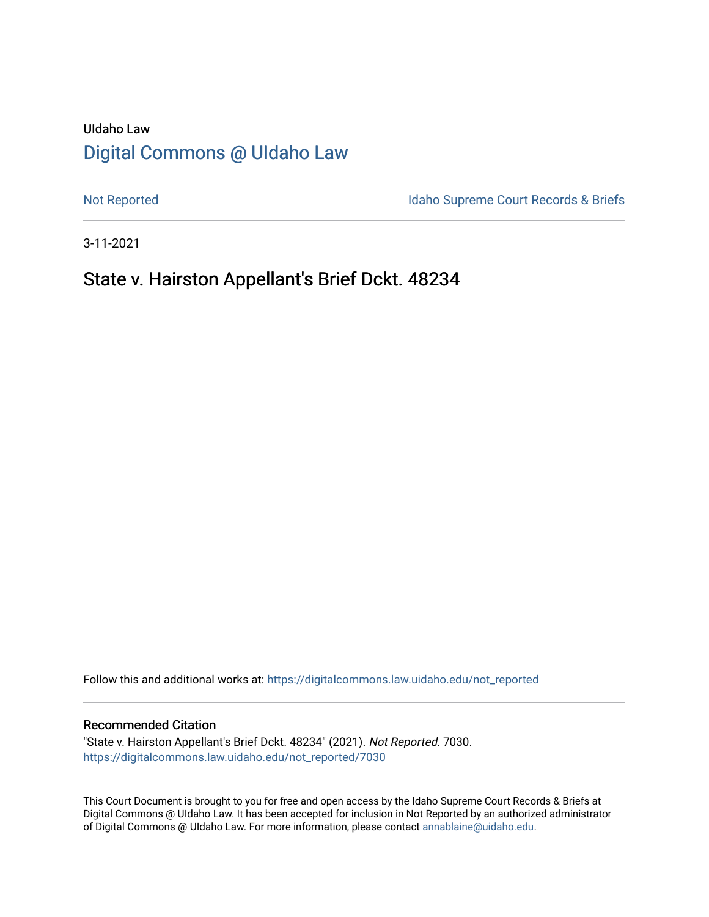# UIdaho Law [Digital Commons @ UIdaho Law](https://digitalcommons.law.uidaho.edu/)

[Not Reported](https://digitalcommons.law.uidaho.edu/not_reported) **Idaho Supreme Court Records & Briefs** 

3-11-2021

# State v. Hairston Appellant's Brief Dckt. 48234

Follow this and additional works at: [https://digitalcommons.law.uidaho.edu/not\\_reported](https://digitalcommons.law.uidaho.edu/not_reported?utm_source=digitalcommons.law.uidaho.edu%2Fnot_reported%2F7030&utm_medium=PDF&utm_campaign=PDFCoverPages) 

#### Recommended Citation

"State v. Hairston Appellant's Brief Dckt. 48234" (2021). Not Reported. 7030. [https://digitalcommons.law.uidaho.edu/not\\_reported/7030](https://digitalcommons.law.uidaho.edu/not_reported/7030?utm_source=digitalcommons.law.uidaho.edu%2Fnot_reported%2F7030&utm_medium=PDF&utm_campaign=PDFCoverPages)

This Court Document is brought to you for free and open access by the Idaho Supreme Court Records & Briefs at Digital Commons @ UIdaho Law. It has been accepted for inclusion in Not Reported by an authorized administrator of Digital Commons @ UIdaho Law. For more information, please contact [annablaine@uidaho.edu](mailto:annablaine@uidaho.edu).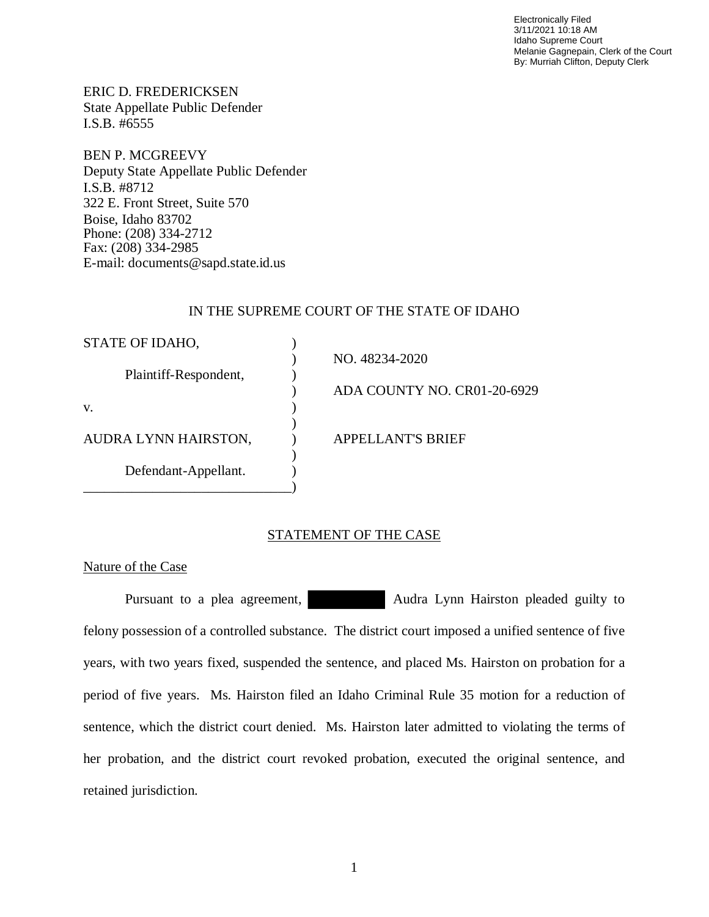Electronically Filed 3/11/2021 10:18 AM Idaho Supreme Court Melanie Gagnepain, Clerk of the Court By: Murriah Clifton, Deputy Clerk

ERIC D. FREDERICKSEN State Appellate Public Defender I.S.B. #6555

BEN P. MCGREEVY Deputy State Appellate Public Defender I.S.B. #8712 322 E. Front Street, Suite 570 Boise, Idaho 83702 Phone: (208) 334-2712 Fax: (208) 334-2985 E-mail: documents@sapd.state.id.us

### IN THE SUPREME COURT OF THE STATE OF IDAHO

| STATE OF IDAHO,       |                             |
|-----------------------|-----------------------------|
|                       | NO. 48234-2020              |
| Plaintiff-Respondent, |                             |
|                       | ADA COUNTY NO. CR01-20-6929 |
| V.                    |                             |
|                       |                             |
| AUDRA LYNN HAIRSTON,  | <b>APPELLANT'S BRIEF</b>    |
|                       |                             |
| Defendant-Appellant.  |                             |
|                       |                             |

### STATEMENT OF THE CASE

Nature of the Case

Pursuant to a plea agreement, Audra Lynn Hairston pleaded guilty to felony possession of a controlled substance. The district court imposed a unified sentence of five years, with two years fixed, suspended the sentence, and placed Ms. Hairston on probation for a period of five years. Ms. Hairston filed an Idaho Criminal Rule 35 motion for a reduction of sentence, which the district court denied. Ms. Hairston later admitted to violating the terms of her probation, and the district court revoked probation, executed the original sentence, and retained jurisdiction.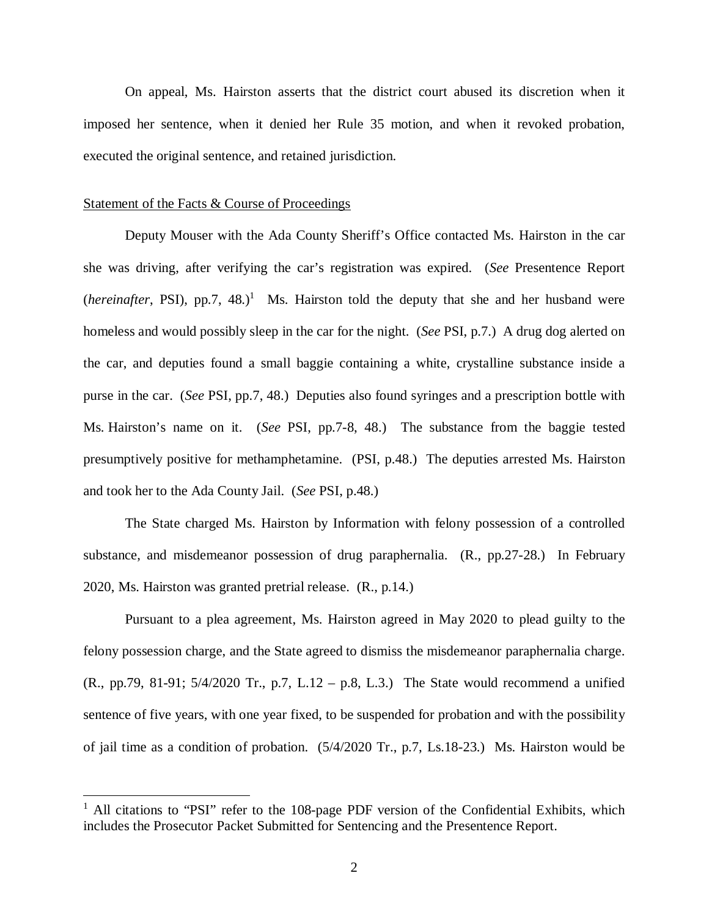On appeal, Ms. Hairston asserts that the district court abused its discretion when it imposed her sentence, when it denied her Rule 35 motion, and when it revoked probation, executed the original sentence, and retained jurisdiction.

#### Statement of the Facts & Course of Proceedings

Deputy Mouser with the Ada County Sheriff's Office contacted Ms. Hairston in the car she was driving, after verifying the car's registration was expired. (*See* Presentence Report  $(hereingfter, PSI), pp.7, 48.)$ <sup>[1](#page-2-0)</sup> Ms. Hairston told the deputy that she and her husband were homeless and would possibly sleep in the car for the night. (*See* PSI, p.7.) A drug dog alerted on the car, and deputies found a small baggie containing a white, crystalline substance inside a purse in the car. (*See* PSI, pp.7, 48.) Deputies also found syringes and a prescription bottle with Ms. Hairston's name on it. (*See* PSI, pp.7-8, 48.) The substance from the baggie tested presumptively positive for methamphetamine. (PSI, p.48.) The deputies arrested Ms. Hairston and took her to the Ada County Jail. (*See* PSI, p.48.)

The State charged Ms. Hairston by Information with felony possession of a controlled substance, and misdemeanor possession of drug paraphernalia. (R., pp.27-28.) In February 2020, Ms. Hairston was granted pretrial release. (R., p.14.)

Pursuant to a plea agreement, Ms. Hairston agreed in May 2020 to plead guilty to the felony possession charge, and the State agreed to dismiss the misdemeanor paraphernalia charge. (R., pp.79, 81-91; 5/4/2020 Tr., p.7, L.12 – p.8, L.3.) The State would recommend a unified sentence of five years, with one year fixed, to be suspended for probation and with the possibility of jail time as a condition of probation. (5/4/2020 Tr., p.7, Ls.18-23.) Ms. Hairston would be

<span id="page-2-0"></span><sup>&</sup>lt;sup>1</sup> All citations to "PSI" refer to the 108-page PDF version of the Confidential Exhibits, which includes the Prosecutor Packet Submitted for Sentencing and the Presentence Report.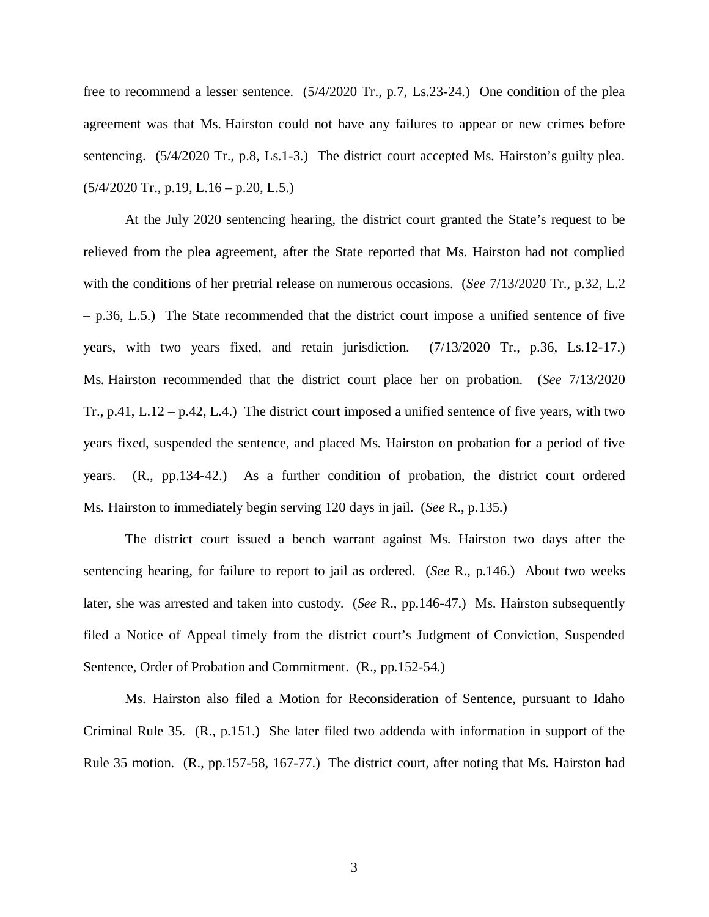free to recommend a lesser sentence. (5/4/2020 Tr., p.7, Ls.23-24.) One condition of the plea agreement was that Ms. Hairston could not have any failures to appear or new crimes before sentencing. (5/4/2020 Tr., p.8, Ls.1-3.) The district court accepted Ms. Hairston's guilty plea.  $(5/4/2020 \text{ Tr.}, p.19, L.16 - p.20, L.5.)$ 

At the July 2020 sentencing hearing, the district court granted the State's request to be relieved from the plea agreement, after the State reported that Ms. Hairston had not complied with the conditions of her pretrial release on numerous occasions. (*See* 7/13/2020 Tr., p.32, L.2 – p.36, L.5.) The State recommended that the district court impose a unified sentence of five years, with two years fixed, and retain jurisdiction. (7/13/2020 Tr., p.36, Ls.12-17.) Ms. Hairston recommended that the district court place her on probation. (*See* 7/13/2020 Tr., p.41, L.12 – p.42, L.4.) The district court imposed a unified sentence of five years, with two years fixed, suspended the sentence, and placed Ms. Hairston on probation for a period of five years. (R., pp.134-42.) As a further condition of probation, the district court ordered Ms. Hairston to immediately begin serving 120 days in jail. (*See* R., p.135.)

The district court issued a bench warrant against Ms. Hairston two days after the sentencing hearing, for failure to report to jail as ordered. (*See* R., p.146.) About two weeks later, she was arrested and taken into custody. (*See* R., pp.146-47.) Ms. Hairston subsequently filed a Notice of Appeal timely from the district court's Judgment of Conviction, Suspended Sentence, Order of Probation and Commitment. (R., pp.152-54.)

Ms. Hairston also filed a Motion for Reconsideration of Sentence, pursuant to Idaho Criminal Rule 35. (R., p.151.) She later filed two addenda with information in support of the Rule 35 motion. (R., pp.157-58, 167-77.) The district court, after noting that Ms. Hairston had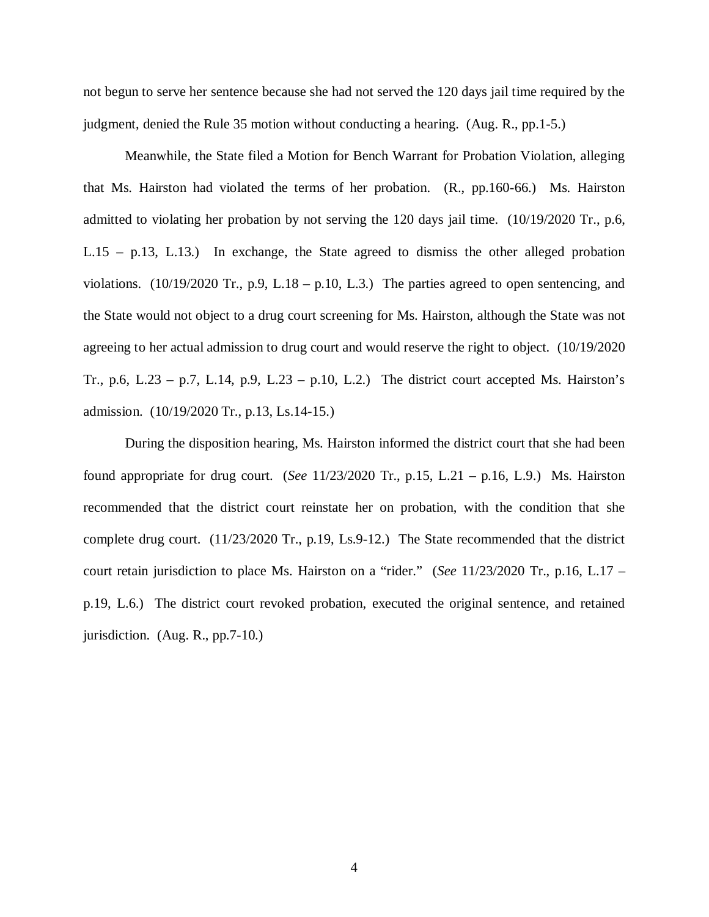not begun to serve her sentence because she had not served the 120 days jail time required by the judgment, denied the Rule 35 motion without conducting a hearing. (Aug. R., pp.1-5.)

Meanwhile, the State filed a Motion for Bench Warrant for Probation Violation, alleging that Ms. Hairston had violated the terms of her probation. (R., pp.160-66.) Ms. Hairston admitted to violating her probation by not serving the 120 days jail time. (10/19/2020 Tr., p.6, L.15 – p.13, L.13.) In exchange, the State agreed to dismiss the other alleged probation violations.  $(10/19/2020 \text{ Tr.}, p.9, L.18 - p.10, L.3)$  The parties agreed to open sentencing, and the State would not object to a drug court screening for Ms. Hairston, although the State was not agreeing to her actual admission to drug court and would reserve the right to object. (10/19/2020 Tr., p.6, L.23 – p.7, L.14, p.9, L.23 – p.10, L.2.) The district court accepted Ms. Hairston's admission. (10/19/2020 Tr., p.13, Ls.14-15.)

During the disposition hearing, Ms. Hairston informed the district court that she had been found appropriate for drug court. (*See* 11/23/2020 Tr., p.15, L.21 – p.16, L.9.) Ms. Hairston recommended that the district court reinstate her on probation, with the condition that she complete drug court. (11/23/2020 Tr., p.19, Ls.9-12.) The State recommended that the district court retain jurisdiction to place Ms. Hairston on a "rider." (*See* 11/23/2020 Tr., p.16, L.17 – p.19, L.6.) The district court revoked probation, executed the original sentence, and retained jurisdiction. (Aug. R., pp.7-10.)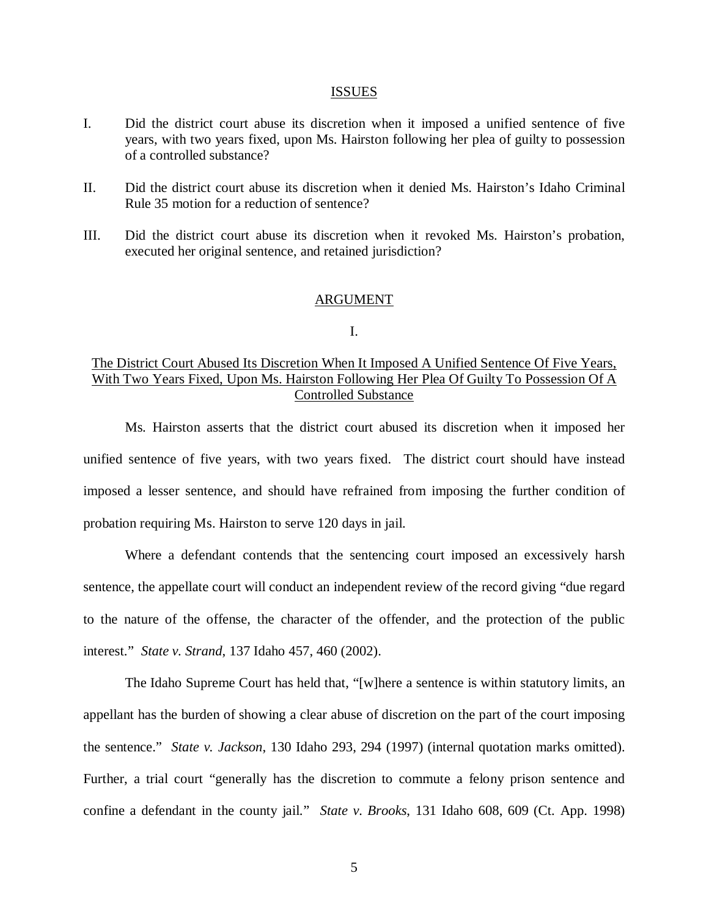#### ISSUES

- I. Did the district court abuse its discretion when it imposed a unified sentence of five years, with two years fixed, upon Ms. Hairston following her plea of guilty to possession of a controlled substance?
- II. Did the district court abuse its discretion when it denied Ms. Hairston's Idaho Criminal Rule 35 motion for a reduction of sentence?
- III. Did the district court abuse its discretion when it revoked Ms. Hairston's probation, executed her original sentence, and retained jurisdiction?

#### ARGUMENT

#### I.

## The District Court Abused Its Discretion When It Imposed A Unified Sentence Of Five Years, With Two Years Fixed, Upon Ms. Hairston Following Her Plea Of Guilty To Possession Of A Controlled Substance

Ms. Hairston asserts that the district court abused its discretion when it imposed her unified sentence of five years, with two years fixed. The district court should have instead imposed a lesser sentence, and should have refrained from imposing the further condition of probation requiring Ms. Hairston to serve 120 days in jail.

Where a defendant contends that the sentencing court imposed an excessively harsh sentence, the appellate court will conduct an independent review of the record giving "due regard to the nature of the offense, the character of the offender, and the protection of the public interest." *State v. Strand*, 137 Idaho 457, 460 (2002).

The Idaho Supreme Court has held that, "[w]here a sentence is within statutory limits, an appellant has the burden of showing a clear abuse of discretion on the part of the court imposing the sentence." *State v. Jackson*, 130 Idaho 293, 294 (1997) (internal quotation marks omitted). Further, a trial court "generally has the discretion to commute a felony prison sentence and confine a defendant in the county jail." *State v. Brooks*, 131 Idaho 608, 609 (Ct. App. 1998)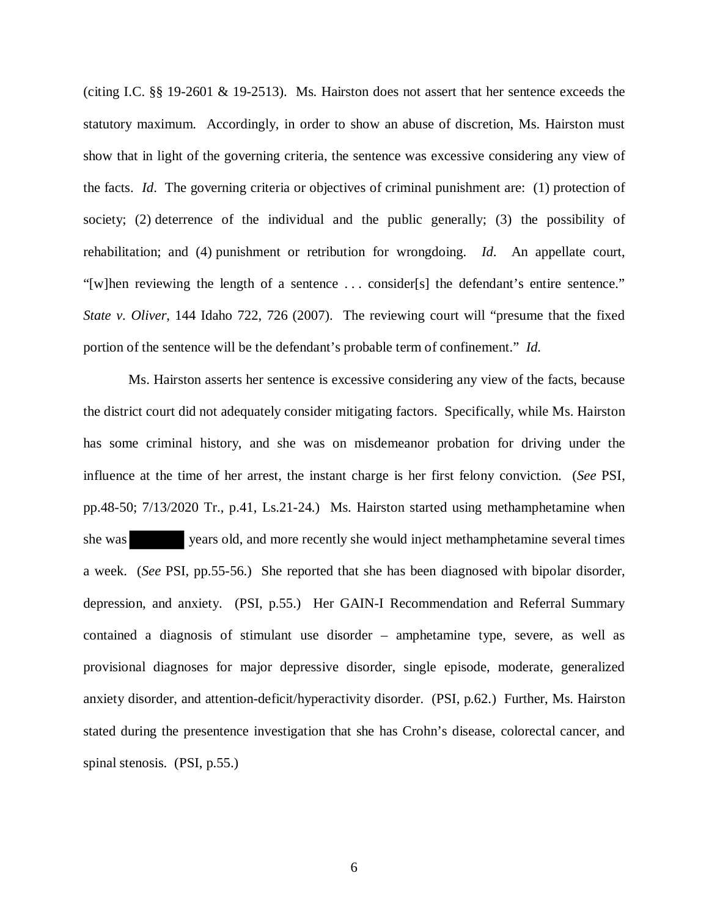(citing I.C. §§ 19-2601 & 19-2513). Ms. Hairston does not assert that her sentence exceeds the statutory maximum. Accordingly, in order to show an abuse of discretion, Ms. Hairston must show that in light of the governing criteria, the sentence was excessive considering any view of the facts. *Id*. The governing criteria or objectives of criminal punishment are: (1) protection of society; (2) deterrence of the individual and the public generally; (3) the possibility of rehabilitation; and (4) punishment or retribution for wrongdoing. *Id*. An appellate court, "[w]hen reviewing the length of a sentence . . . consider[s] the defendant's entire sentence." *State v. Oliver*, 144 Idaho 722, 726 (2007). The reviewing court will "presume that the fixed portion of the sentence will be the defendant's probable term of confinement." *Id.*

 Ms. Hairston asserts her sentence is excessive considering any view of the facts, because the district court did not adequately consider mitigating factors. Specifically, while Ms. Hairston has some criminal history, and she was on misdemeanor probation for driving under the influence at the time of her arrest, the instant charge is her first felony conviction. (*See* PSI, pp.48-50; 7/13/2020 Tr., p.41, Ls.21-24.) Ms. Hairston started using methamphetamine when she was years old, and more recently she would inject methamphetamine several times a week. (*See* PSI, pp.55-56.) She reported that she has been diagnosed with bipolar disorder, depression, and anxiety. (PSI, p.55.) Her GAIN-I Recommendation and Referral Summary contained a diagnosis of stimulant use disorder – amphetamine type, severe, as well as provisional diagnoses for major depressive disorder, single episode, moderate, generalized anxiety disorder, and attention-deficit/hyperactivity disorder. (PSI, p.62.) Further, Ms. Hairston stated during the presentence investigation that she has Crohn's disease, colorectal cancer, and spinal stenosis. (PSI, p.55.)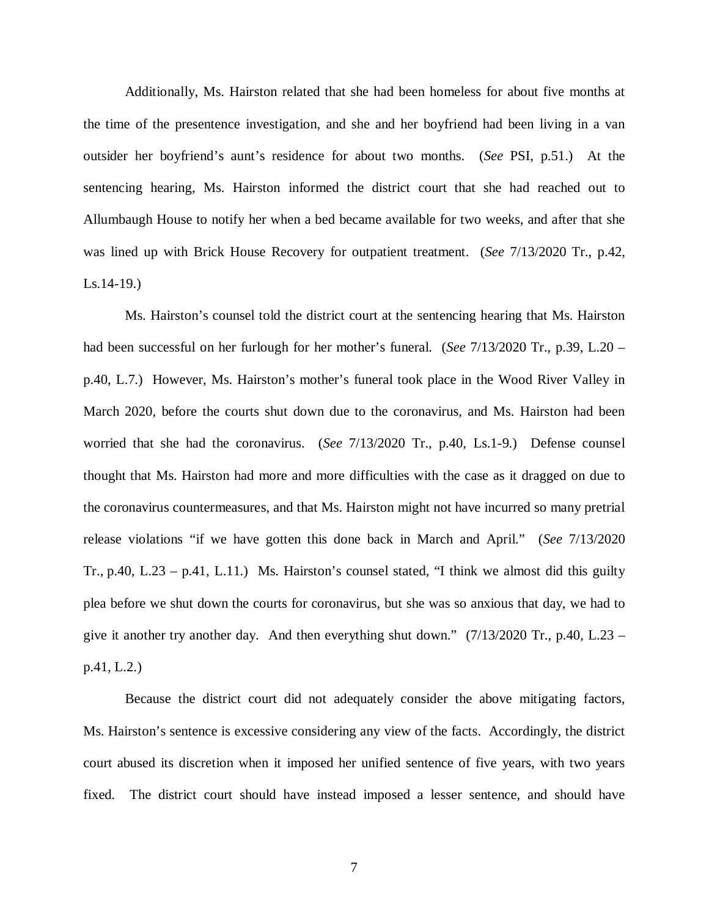Additionally, Ms. Hairston related that she had been homeless for about five months at the time of the presentence investigation, and she and her boyfriend had been living in a van outsider her boyfriend's aunt's residence for about two months. (*See* PSI, p.51.) At the sentencing hearing, Ms. Hairston informed the district court that she had reached out to Allumbaugh House to notify her when a bed became available for two weeks, and after that she was lined up with Brick House Recovery for outpatient treatment. (*See* 7/13/2020 Tr., p.42, Ls.14-19.)

Ms. Hairston's counsel told the district court at the sentencing hearing that Ms. Hairston had been successful on her furlough for her mother's funeral. (*See* 7/13/2020 Tr., p.39, L.20 – p.40, L.7.) However, Ms. Hairston's mother's funeral took place in the Wood River Valley in March 2020, before the courts shut down due to the coronavirus, and Ms. Hairston had been worried that she had the coronavirus. (*See* 7/13/2020 Tr., p.40, Ls.1-9.) Defense counsel thought that Ms. Hairston had more and more difficulties with the case as it dragged on due to the coronavirus countermeasures, and that Ms. Hairston might not have incurred so many pretrial release violations "if we have gotten this done back in March and April." (*See* 7/13/2020 Tr., p.40, L.23 – p.41, L.11.) Ms. Hairston's counsel stated, "I think we almost did this guilty plea before we shut down the courts for coronavirus, but she was so anxious that day, we had to give it another try another day. And then everything shut down."  $(7/13/2020 \text{ Tr}., p.40, L.23$ p.41, L.2.)

Because the district court did not adequately consider the above mitigating factors, Ms. Hairston's sentence is excessive considering any view of the facts. Accordingly, the district court abused its discretion when it imposed her unified sentence of five years, with two years fixed. The district court should have instead imposed a lesser sentence, and should have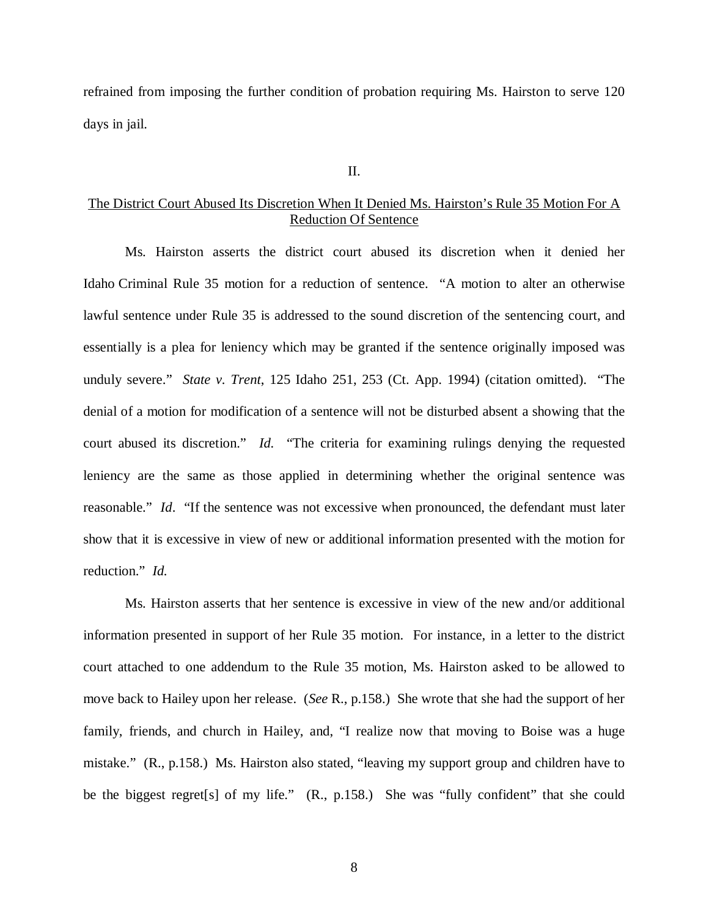refrained from imposing the further condition of probation requiring Ms. Hairston to serve 120 days in jail.

#### II.

## The District Court Abused Its Discretion When It Denied Ms. Hairston's Rule 35 Motion For A Reduction Of Sentence

Ms. Hairston asserts the district court abused its discretion when it denied her Idaho Criminal Rule 35 motion for a reduction of sentence. "A motion to alter an otherwise lawful sentence under Rule 35 is addressed to the sound discretion of the sentencing court, and essentially is a plea for leniency which may be granted if the sentence originally imposed was unduly severe." *State v. Trent*, 125 Idaho 251, 253 (Ct. App. 1994) (citation omitted). "The denial of a motion for modification of a sentence will not be disturbed absent a showing that the court abused its discretion." *Id.* "The criteria for examining rulings denying the requested leniency are the same as those applied in determining whether the original sentence was reasonable." *Id*. "If the sentence was not excessive when pronounced, the defendant must later show that it is excessive in view of new or additional information presented with the motion for reduction." *Id.*

Ms. Hairston asserts that her sentence is excessive in view of the new and/or additional information presented in support of her Rule 35 motion. For instance, in a letter to the district court attached to one addendum to the Rule 35 motion, Ms. Hairston asked to be allowed to move back to Hailey upon her release. (*See* R., p.158.) She wrote that she had the support of her family, friends, and church in Hailey, and, "I realize now that moving to Boise was a huge mistake." (R., p.158.) Ms. Hairston also stated, "leaving my support group and children have to be the biggest regret[s] of my life." (R., p.158.) She was "fully confident" that she could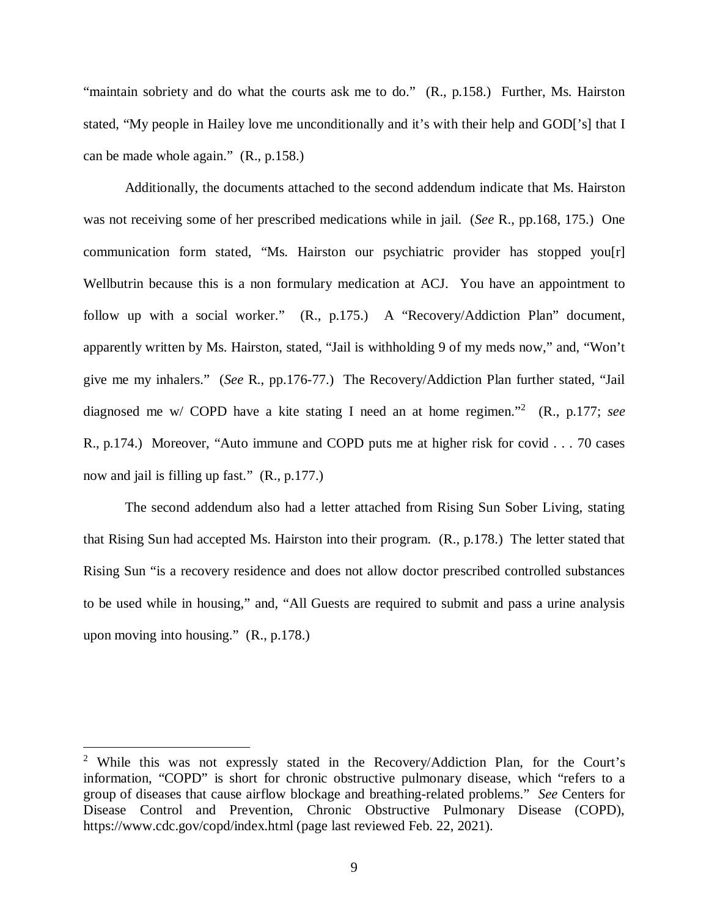"maintain sobriety and do what the courts ask me to do." (R., p.158.) Further, Ms. Hairston stated, "My people in Hailey love me unconditionally and it's with their help and GOD['s] that I can be made whole again." (R., p.158.)

Additionally, the documents attached to the second addendum indicate that Ms. Hairston was not receiving some of her prescribed medications while in jail. (*See* R., pp.168, 175.) One communication form stated, "Ms. Hairston our psychiatric provider has stopped you[r] Wellbutrin because this is a non formulary medication at ACJ. You have an appointment to follow up with a social worker." (R., p.175.) A "Recovery/Addiction Plan" document, apparently written by Ms. Hairston, stated, "Jail is withholding 9 of my meds now," and, "Won't give me my inhalers." (*See* R., pp.176-77.) The Recovery/Addiction Plan further stated, "Jail diagnosed me w/ COPD have a kite stating I need an at home regimen."[2](#page-9-0) (R., p.177; *see* R., p.174.) Moreover, "Auto immune and COPD puts me at higher risk for covid . . . 70 cases now and jail is filling up fast." (R., p.177.)

The second addendum also had a letter attached from Rising Sun Sober Living, stating that Rising Sun had accepted Ms. Hairston into their program. (R., p.178.) The letter stated that Rising Sun "is a recovery residence and does not allow doctor prescribed controlled substances to be used while in housing," and, "All Guests are required to submit and pass a urine analysis upon moving into housing." (R., p.178.)

<span id="page-9-0"></span><sup>&</sup>lt;sup>2</sup> While this was not expressly stated in the Recovery/Addiction Plan, for the Court's information, "COPD" is short for chronic obstructive pulmonary disease, which "refers to a group of diseases that cause airflow blockage and breathing-related problems." *See* Centers for Disease Control and Prevention, Chronic Obstructive Pulmonary Disease (COPD), https://www.cdc.gov/copd/index.html (page last reviewed Feb. 22, 2021).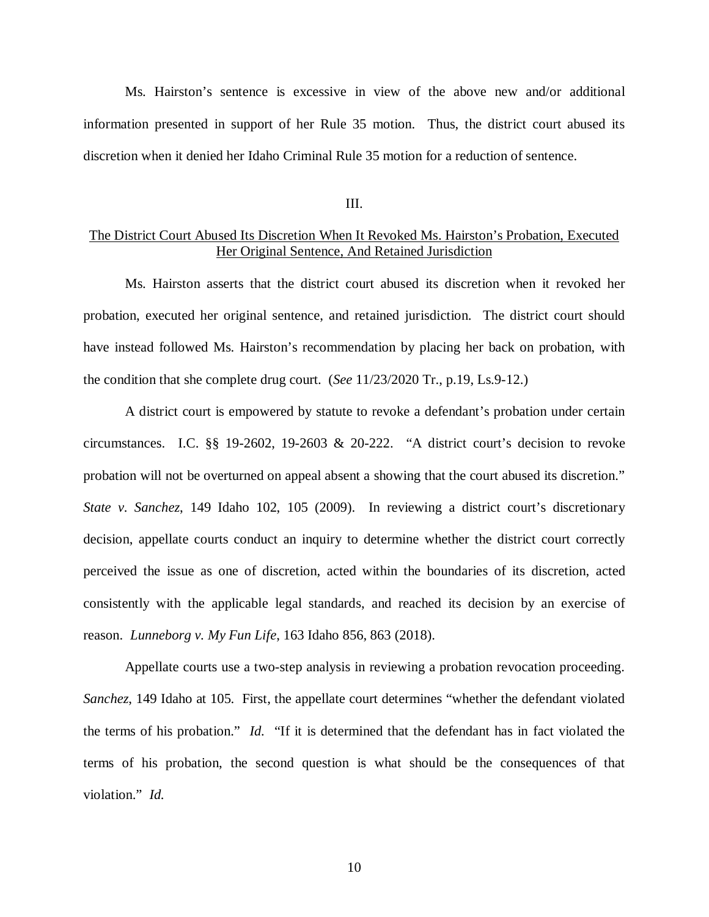Ms. Hairston's sentence is excessive in view of the above new and/or additional information presented in support of her Rule 35 motion. Thus, the district court abused its discretion when it denied her Idaho Criminal Rule 35 motion for a reduction of sentence.

#### III.

## The District Court Abused Its Discretion When It Revoked Ms. Hairston's Probation, Executed Her Original Sentence, And Retained Jurisdiction

Ms. Hairston asserts that the district court abused its discretion when it revoked her probation, executed her original sentence, and retained jurisdiction. The district court should have instead followed Ms. Hairston's recommendation by placing her back on probation, with the condition that she complete drug court. (*See* 11/23/2020 Tr., p.19, Ls.9-12.)

A district court is empowered by statute to revoke a defendant's probation under certain circumstances. I.C. §§ 19-2602, 19-2603 & 20-222. "A district court's decision to revoke probation will not be overturned on appeal absent a showing that the court abused its discretion." *State v. Sanchez*, 149 Idaho 102, 105 (2009). In reviewing a district court's discretionary decision, appellate courts conduct an inquiry to determine whether the district court correctly perceived the issue as one of discretion, acted within the boundaries of its discretion, acted consistently with the applicable legal standards, and reached its decision by an exercise of reason. *Lunneborg v. My Fun Life*, 163 Idaho 856, 863 (2018).

Appellate courts use a two-step analysis in reviewing a probation revocation proceeding. *Sanchez*, 149 Idaho at 105. First, the appellate court determines "whether the defendant violated the terms of his probation." *Id.* "If it is determined that the defendant has in fact violated the terms of his probation, the second question is what should be the consequences of that violation." *Id.*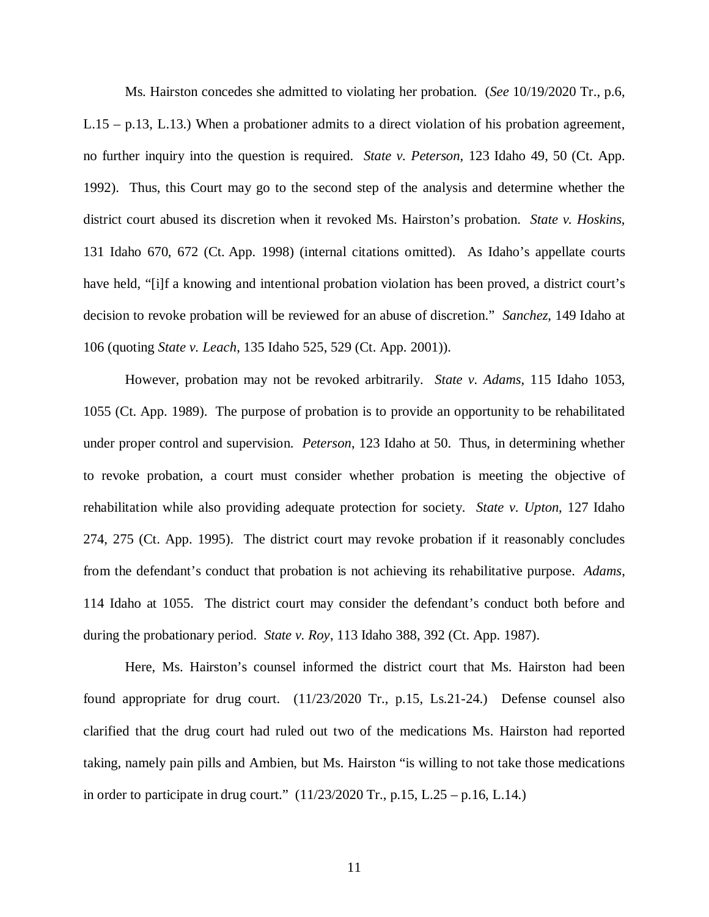Ms. Hairston concedes she admitted to violating her probation. (*See* 10/19/2020 Tr., p.6, L.15 – p.13, L.13.) When a probationer admits to a direct violation of his probation agreement, no further inquiry into the question is required. *State v. Peterson*, 123 Idaho 49, 50 (Ct. App. 1992). Thus, this Court may go to the second step of the analysis and determine whether the district court abused its discretion when it revoked Ms. Hairston's probation. *State v. Hoskins*, 131 Idaho 670, 672 (Ct. App. 1998) (internal citations omitted). As Idaho's appellate courts have held, "[i]f a knowing and intentional probation violation has been proved, a district court's decision to revoke probation will be reviewed for an abuse of discretion." *Sanchez*, 149 Idaho at 106 (quoting *State v. Leach*, 135 Idaho 525, 529 (Ct. App. 2001)).

However, probation may not be revoked arbitrarily. *State v. Adams*, 115 Idaho 1053, 1055 (Ct. App. 1989). The purpose of probation is to provide an opportunity to be rehabilitated under proper control and supervision. *Peterson*, 123 Idaho at 50. Thus, in determining whether to revoke probation, a court must consider whether probation is meeting the objective of rehabilitation while also providing adequate protection for society. *State v. Upton*, 127 Idaho 274, 275 (Ct. App. 1995). The district court may revoke probation if it reasonably concludes from the defendant's conduct that probation is not achieving its rehabilitative purpose. *Adams*, 114 Idaho at 1055. The district court may consider the defendant's conduct both before and during the probationary period. *State v. Roy*, 113 Idaho 388, 392 (Ct. App. 1987).

Here, Ms. Hairston's counsel informed the district court that Ms. Hairston had been found appropriate for drug court. (11/23/2020 Tr., p.15, Ls.21-24.) Defense counsel also clarified that the drug court had ruled out two of the medications Ms. Hairston had reported taking, namely pain pills and Ambien, but Ms. Hairston "is willing to not take those medications in order to participate in drug court." (11/23/2020 Tr., p.15, L.25 – p.16, L.14.)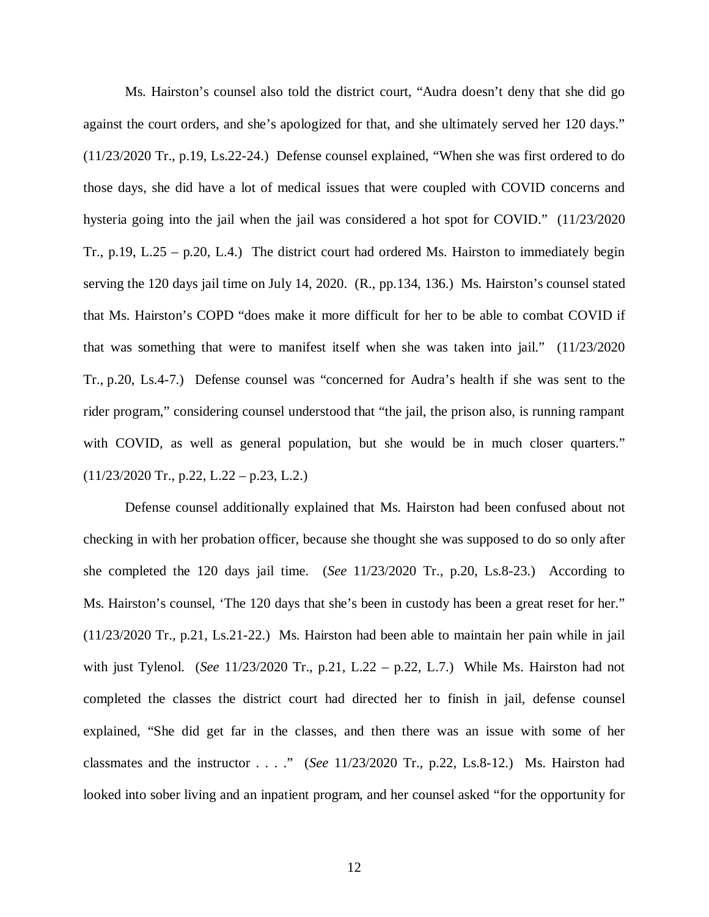Ms. Hairston's counsel also told the district court, "Audra doesn't deny that she did go against the court orders, and she's apologized for that, and she ultimately served her 120 days." (11/23/2020 Tr., p.19, Ls.22-24.) Defense counsel explained, "When she was first ordered to do those days, she did have a lot of medical issues that were coupled with COVID concerns and hysteria going into the jail when the jail was considered a hot spot for COVID." (11/23/2020 Tr., p.19, L.25 – p.20, L.4.) The district court had ordered Ms. Hairston to immediately begin serving the 120 days jail time on July 14, 2020. (R., pp.134, 136.) Ms. Hairston's counsel stated that Ms. Hairston's COPD "does make it more difficult for her to be able to combat COVID if that was something that were to manifest itself when she was taken into jail." (11/23/2020 Tr., p.20, Ls.4-7.) Defense counsel was "concerned for Audra's health if she was sent to the rider program," considering counsel understood that "the jail, the prison also, is running rampant with COVID, as well as general population, but she would be in much closer quarters."  $(11/23/2020 \text{ Tr.}, p.22, L.22 - p.23, L.2.)$ 

Defense counsel additionally explained that Ms. Hairston had been confused about not checking in with her probation officer, because she thought she was supposed to do so only after she completed the 120 days jail time. (*See* 11/23/2020 Tr., p.20, Ls.8-23.) According to Ms. Hairston's counsel, 'The 120 days that she's been in custody has been a great reset for her." (11/23/2020 Tr., p.21, Ls.21-22.) Ms. Hairston had been able to maintain her pain while in jail with just Tylenol. (*See* 11/23/2020 Tr., p.21, L.22 – p.22, L.7.) While Ms. Hairston had not completed the classes the district court had directed her to finish in jail, defense counsel explained, "She did get far in the classes, and then there was an issue with some of her classmates and the instructor . . . ." (*See* 11/23/2020 Tr., p.22, Ls.8-12.) Ms. Hairston had looked into sober living and an inpatient program, and her counsel asked "for the opportunity for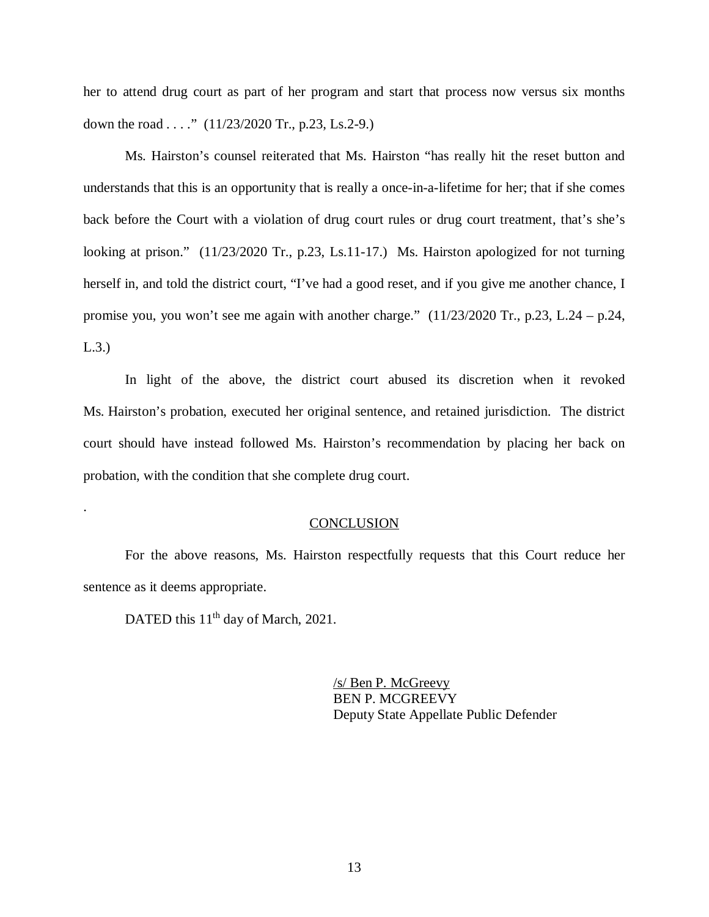her to attend drug court as part of her program and start that process now versus six months down the road . . . ."  $(11/23/2020 \text{ Tr.}, \text{p.23}, \text{Ls.2-9.})$ 

Ms. Hairston's counsel reiterated that Ms. Hairston "has really hit the reset button and understands that this is an opportunity that is really a once-in-a-lifetime for her; that if she comes back before the Court with a violation of drug court rules or drug court treatment, that's she's looking at prison." (11/23/2020 Tr., p.23, Ls.11-17.) Ms. Hairston apologized for not turning herself in, and told the district court, "I've had a good reset, and if you give me another chance, I promise you, you won't see me again with another charge." (11/23/2020 Tr., p.23, L.24 – p.24, L.3.)

In light of the above, the district court abused its discretion when it revoked Ms. Hairston's probation, executed her original sentence, and retained jurisdiction. The district court should have instead followed Ms. Hairston's recommendation by placing her back on probation, with the condition that she complete drug court.

#### **CONCLUSION**

For the above reasons, Ms. Hairston respectfully requests that this Court reduce her sentence as it deems appropriate.

DATED this 11<sup>th</sup> day of March, 2021.

.

/s/ Ben P. McGreevy BEN P. MCGREEVY Deputy State Appellate Public Defender